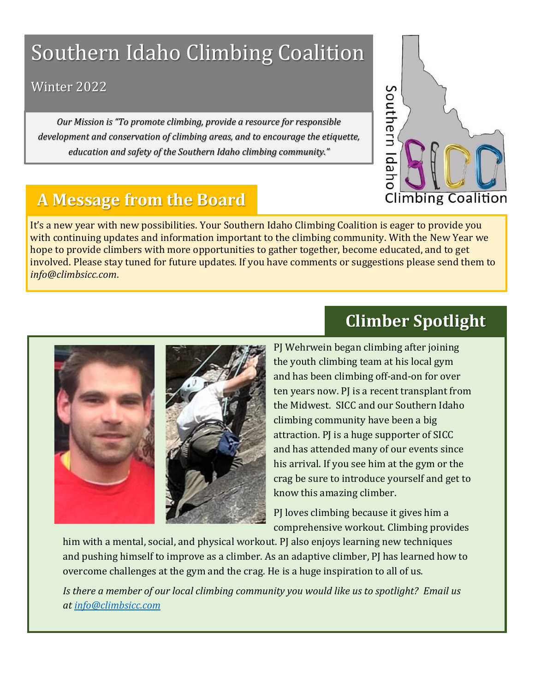# Southern Idaho Climbing Coalition

### Winter 2022

*Our Mission is "To promote climbing, provide a resource for responsible development and conservation of climbing areas, and to encourage the etiquette, education and safety of the Southern Idaho climbing community."*



### **A Message from the Board**

It's a new year with new possibilities. Your Southern Idaho Climbing Coalition is eager to provide you with continuing updates and information important to the climbing community. With the New Year we hope to provide climbers with more opportunities to gather together, become educated, and to get involved. Please stay tuned for future updates. If you have comments or suggestions please send them to *info@climbsicc.com*.



## **Climber Spotlight**

PJ Wehrwein began climbing after joining the youth climbing team at his local gym and has been climbing off-and-on for over ten years now. PJ is a recent transplant from the Midwest. SICC and our Southern Idaho climbing community have been a big attraction. PJ is a huge supporter of SICC and has attended many of our events since his arrival. If you see him at the gym or the crag be sure to introduce yourself and get to know this amazing climber.

PJ loves climbing because it gives him a comprehensive workout. Climbing provides

him with a mental, social, and physical workout. PJ also enjoys learning new techniques and pushing himself to improve as a climber. As an adaptive climber, PJ has learned how to overcome challenges at the gym and the crag. He is a huge inspiration to all of us.

*Is there a member of our local climbing community you would like us to spotlight? Email us at [info@climbsicc.com](mailto:info@climbsicc.com)*